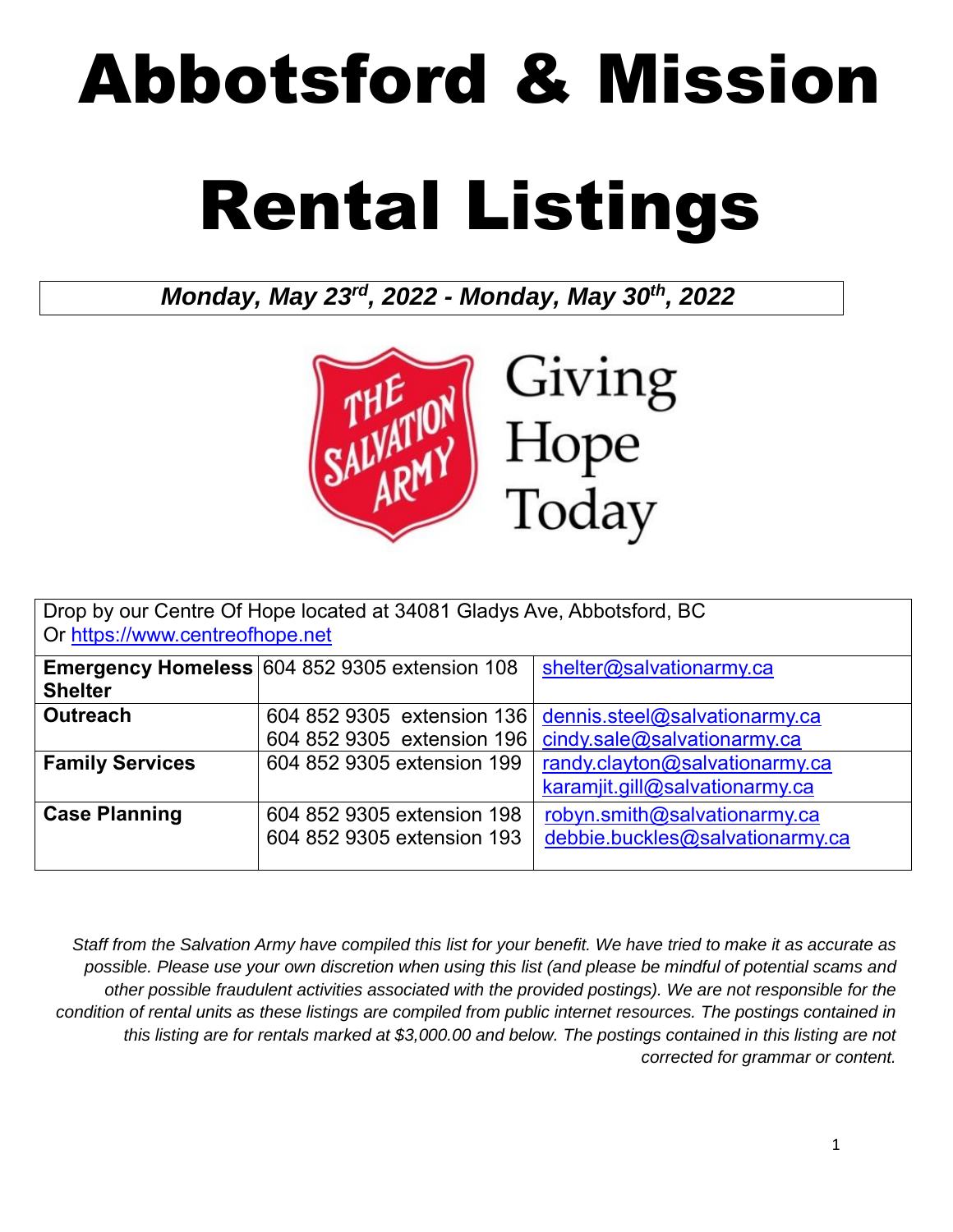# Abbotsford & Mission Rental Listings

*Monday, May 23rd, 2022 - Monday, May 30th, 2022*



| Drop by our Centre Of Hope located at 34081 Gladys Ave, Abbotsford, BC<br>Or https://www.centreofhope.net |                                                      |                                 |
|-----------------------------------------------------------------------------------------------------------|------------------------------------------------------|---------------------------------|
|                                                                                                           |                                                      |                                 |
|                                                                                                           | <b>Emergency Homeless 604 852 9305 extension 108</b> | shelter@salvationarmy.ca        |
| <b>Shelter</b>                                                                                            |                                                      |                                 |
| <b>Outreach</b>                                                                                           | 604 852 9305 extension 136                           | dennis.steel@salvationarmy.ca   |
|                                                                                                           | 604 852 9305 extension 196                           | cindy.sale@salvationarmy.ca     |
| <b>Family Services</b>                                                                                    | 604 852 9305 extension 199                           | randy.clayton@salvationarmy.ca  |
|                                                                                                           |                                                      | karamjit.gill@salvationarmy.ca  |
| <b>Case Planning</b>                                                                                      | 604 852 9305 extension 198                           | robyn.smith@salvationarmy.ca    |
|                                                                                                           | 604 852 9305 extension 193                           | debbie.buckles@salvationarmy.ca |
|                                                                                                           |                                                      |                                 |

*Staff from the Salvation Army have compiled this list for your benefit. We have tried to make it as accurate as possible. Please use your own discretion when using this list (and please be mindful of potential scams and other possible fraudulent activities associated with the provided postings). We are not responsible for the condition of rental units as these listings are compiled from public internet resources. The postings contained in this listing are for rentals marked at \$3,000.00 and below. The postings contained in this listing are not corrected for grammar or content.*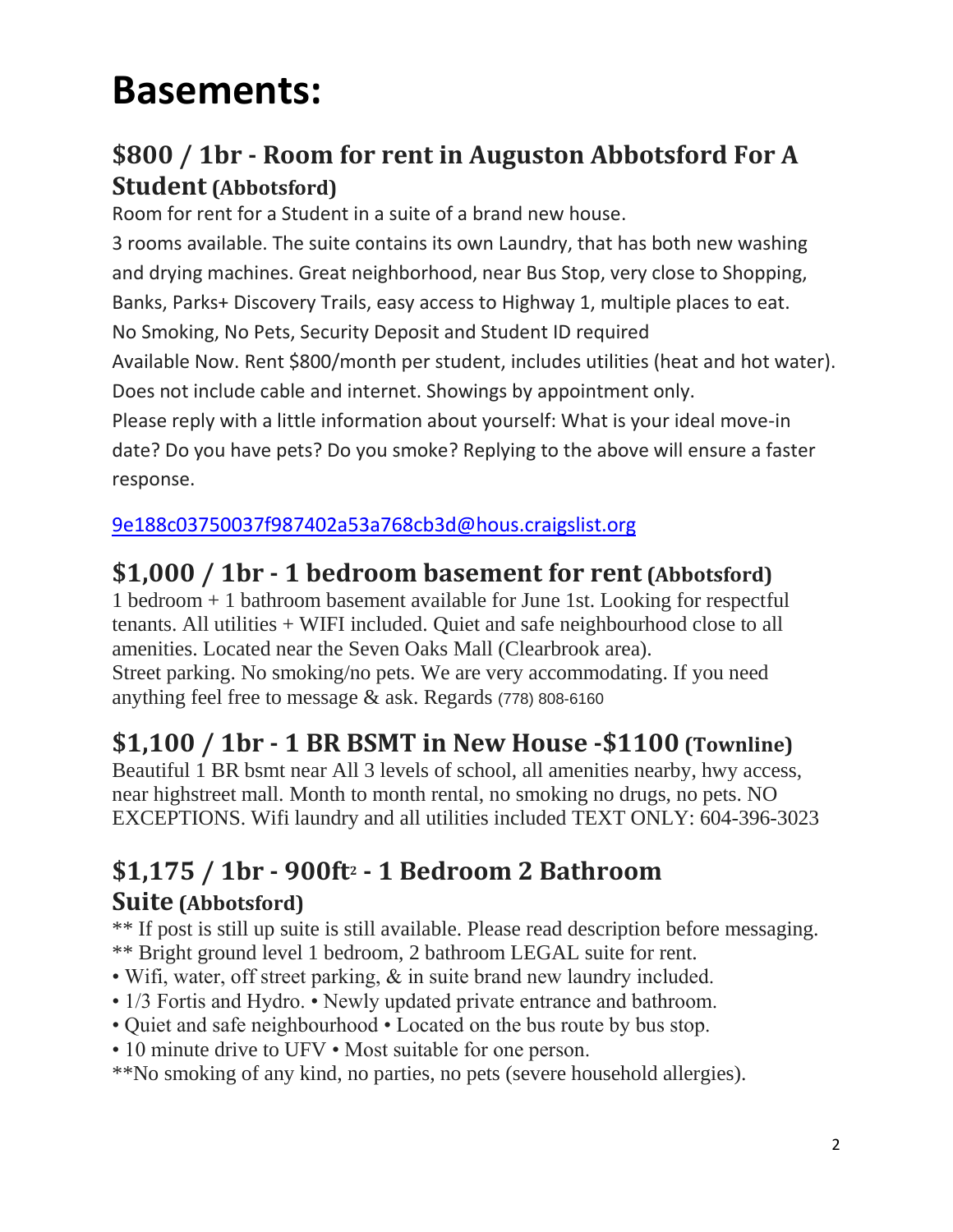# **Basements:**

#### **\$800 / 1br - Room for rent in Auguston Abbotsford For A Student (Abbotsford)**

Room for rent for a Student in a suite of a brand new house.

3 rooms available. The suite contains its own Laundry, that has both new washing and drying machines. Great neighborhood, near Bus Stop, very close to Shopping, Banks, Parks+ Discovery Trails, easy access to Highway 1, multiple places to eat. No Smoking, No Pets, Security Deposit and Student ID required Available Now. Rent \$800/month per student, includes utilities (heat and hot water). Does not include cable and internet. Showings by appointment only. Please reply with a little information about yourself: What is your ideal move-in date? Do you have pets? Do you smoke? Replying to the above will ensure a faster response.

[9e188c03750037f987402a53a768cb3d@hous.craigslist.org](mailto:9e188c03750037f987402a53a768cb3d@hous.craigslist.org)

#### **\$1,000 / 1br - 1 bedroom basement for rent (Abbotsford)**

1 bedroom + 1 bathroom basement available for June 1st. Looking for respectful tenants. All utilities + WIFI included. Quiet and safe neighbourhood close to all amenities. Located near the Seven Oaks Mall (Clearbrook area). Street parking. No smoking/no pets. We are very accommodating. If you need anything feel free to message & ask. Regards (778) 808-6160

#### **\$1,100 / 1br - 1 BR BSMT in New House -\$1100 (Townline)**

Beautiful 1 BR bsmt near All 3 levels of school, all amenities nearby, hwy access, near highstreet mall. Month to month rental, no smoking no drugs, no pets. NO EXCEPTIONS. Wifi laundry and all utilities included TEXT ONLY: 604-396-3023

# **\$1,175 / 1br - 900ft<sup>2</sup> - 1 Bedroom 2 Bathroom**

#### **Suite (Abbotsford)**

\*\* If post is still up suite is still available. Please read description before messaging. \*\* Bright ground level 1 bedroom, 2 bathroom LEGAL suite for rent.

- Wifi, water, off street parking, & in suite brand new laundry included.
- 1/3 Fortis and Hydro. Newly updated private entrance and bathroom.
- Quiet and safe neighbourhood Located on the bus route by bus stop.
- 10 minute drive to UFV Most suitable for one person.
- \*\*No smoking of any kind, no parties, no pets (severe household allergies).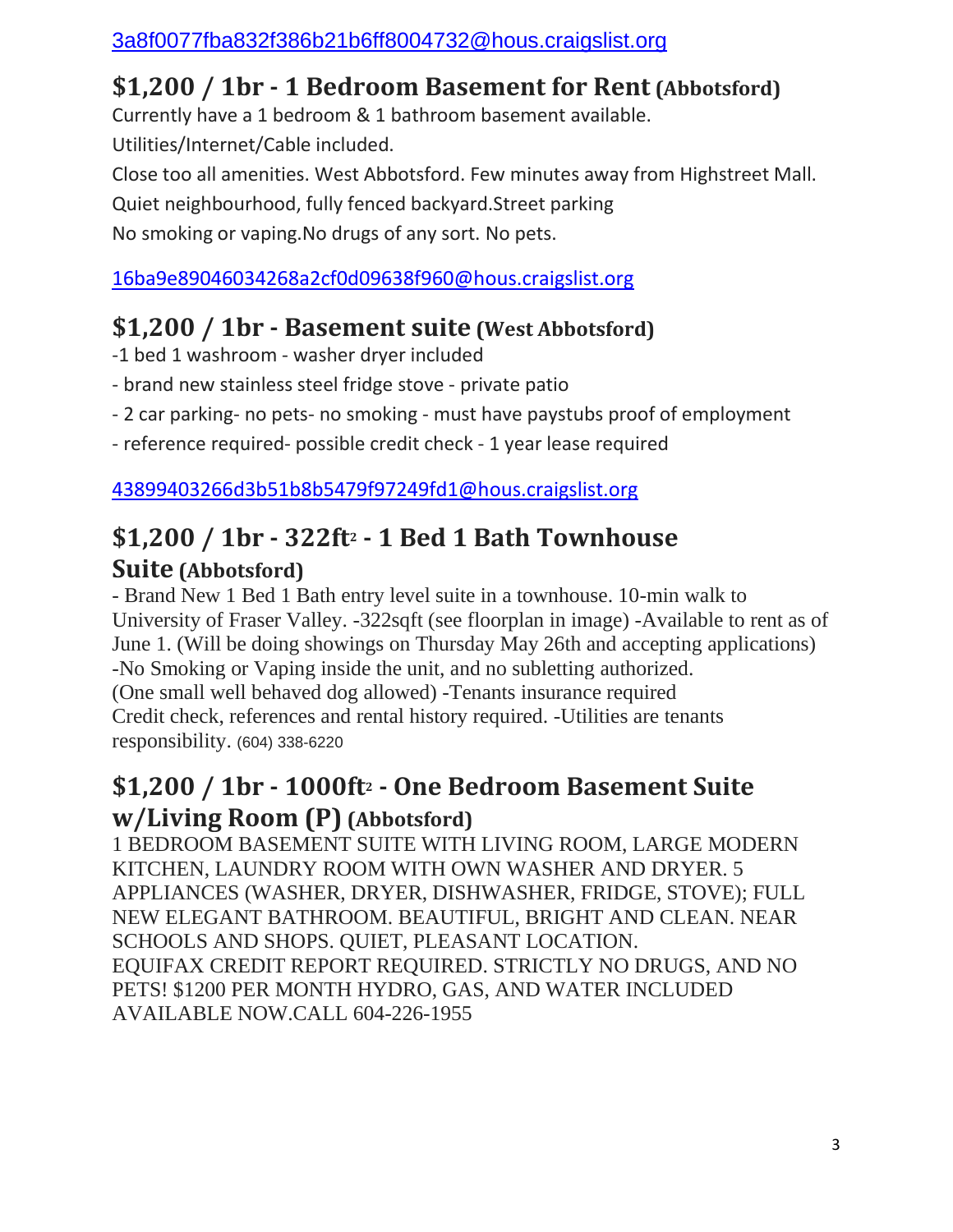#### **\$1,200 / 1br - 1 Bedroom Basement for Rent (Abbotsford)**

Currently have a 1 bedroom & 1 bathroom basement available. Utilities/Internet/Cable included.

Close too all amenities. West Abbotsford. Few minutes away from Highstreet Mall. Quiet neighbourhood, fully fenced backyard.Street parking No smoking or vaping.No drugs of any sort. No pets.

[16ba9e89046034268a2cf0d09638f960@hous.craigslist.org](mailto:16ba9e89046034268a2cf0d09638f960@hous.craigslist.org)

#### **\$1,200 / 1br - Basement suite (West Abbotsford)**

- -1 bed 1 washroom washer dryer included
- brand new stainless steel fridge stove private patio
- 2 car parking- no pets- no smoking must have paystubs proof of employment

- reference required- possible credit check - 1 year lease required

[43899403266d3b51b8b5479f97249fd1@hous.craigslist.org](mailto:43899403266d3b51b8b5479f97249fd1@hous.craigslist.org)

#### **\$1,200 / 1br - 322ft<sup>2</sup> - 1 Bed 1 Bath Townhouse Suite (Abbotsford)**

- Brand New 1 Bed 1 Bath entry level suite in a townhouse. 10-min walk to University of Fraser Valley. -322sqft (see floorplan in image) -Available to rent as of June 1. (Will be doing showings on Thursday May 26th and accepting applications) -No Smoking or Vaping inside the unit, and no subletting authorized. (One small well behaved dog allowed) -Tenants insurance required Credit check, references and rental history required. -Utilities are tenants responsibility. (604) 338-6220

#### **\$1,200 / 1br - 1000ft<sup>2</sup> - One Bedroom Basement Suite w/Living Room (P) (Abbotsford)**

1 BEDROOM BASEMENT SUITE WITH LIVING ROOM, LARGE MODERN KITCHEN, LAUNDRY ROOM WITH OWN WASHER AND DRYER. 5 APPLIANCES (WASHER, DRYER, DISHWASHER, FRIDGE, STOVE); FULL NEW ELEGANT BATHROOM. BEAUTIFUL, BRIGHT AND CLEAN. NEAR SCHOOLS AND SHOPS. QUIET, PLEASANT LOCATION. EQUIFAX CREDIT REPORT REQUIRED. STRICTLY NO DRUGS, AND NO PETS! \$1200 PER MONTH HYDRO, GAS, AND WATER INCLUDED AVAILABLE NOW.CALL 604-226-1955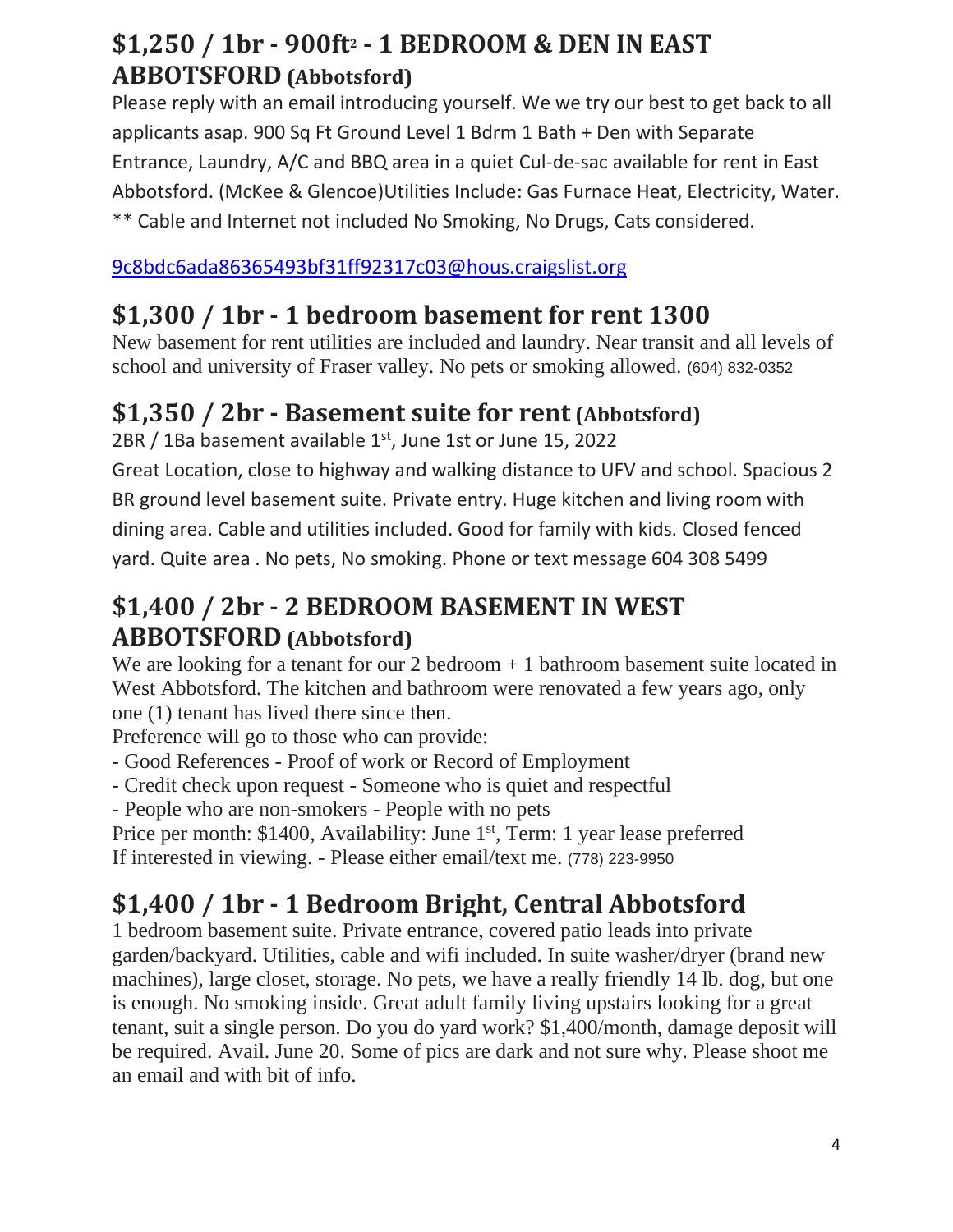#### **\$1,250 / 1br - 900ft<sup>2</sup> - 1 BEDROOM & DEN IN EAST ABBOTSFORD (Abbotsford)**

Please reply with an email introducing yourself. We we try our best to get back to all applicants asap. 900 Sq Ft Ground Level 1 Bdrm 1 Bath + Den with Separate Entrance, Laundry, A/C and BBQ area in a quiet Cul-de-sac available for rent in East Abbotsford. (McKee & Glencoe)Utilities Include: Gas Furnace Heat, Electricity, Water. \*\* Cable and Internet not included No Smoking, No Drugs, Cats considered.

[9c8bdc6ada86365493bf31ff92317c03@hous.craigslist.org](mailto:9c8bdc6ada86365493bf31ff92317c03@hous.craigslist.org)

#### **\$1,300 / 1br - 1 bedroom basement for rent 1300**

New basement for rent utilities are included and laundry. Near transit and all levels of school and university of Fraser valley. No pets or smoking allowed. (604) 832-0352

#### **\$1,350 / 2br - Basement suite for rent (Abbotsford)**

 $2BR / 1Ba$  basement available  $1<sup>st</sup>$ , June 1st or June 15, 2022

Great Location, close to highway and walking distance to UFV and school. Spacious 2 BR ground level basement suite. Private entry. Huge kitchen and living room with dining area. Cable and utilities included. Good for family with kids. Closed fenced yard. Quite area . No pets, No smoking. Phone or text message 604 308 5499

#### **\$1,400 / 2br - 2 BEDROOM BASEMENT IN WEST ABBOTSFORD (Abbotsford)**

We are looking for a tenant for our  $2 \text{ bedroom} + 1 \text{ bathroom basement suite located in}$ West Abbotsford. The kitchen and bathroom were renovated a few years ago, only one (1) tenant has lived there since then.

Preference will go to those who can provide:

- Good References Proof of work or Record of Employment
- Credit check upon request Someone who is quiet and respectful
- People who are non-smokers People with no pets
- Price per month: \$1400, Availability: June 1<sup>st</sup>, Term: 1 year lease preferred If interested in viewing. - Please either email/text me. (778) 223-9950

## **\$1,400 / 1br - 1 Bedroom Bright, Central Abbotsford**

1 bedroom basement suite. Private entrance, covered patio leads into private garden/backyard. Utilities, cable and wifi included. In suite washer/dryer (brand new machines), large closet, storage. No pets, we have a really friendly 14 lb. dog, but one is enough. No smoking inside. Great adult family living upstairs looking for a great tenant, suit a single person. Do you do yard work? \$1,400/month, damage deposit will be required. Avail. June 20. Some of pics are dark and not sure why. Please shoot me an email and with bit of info.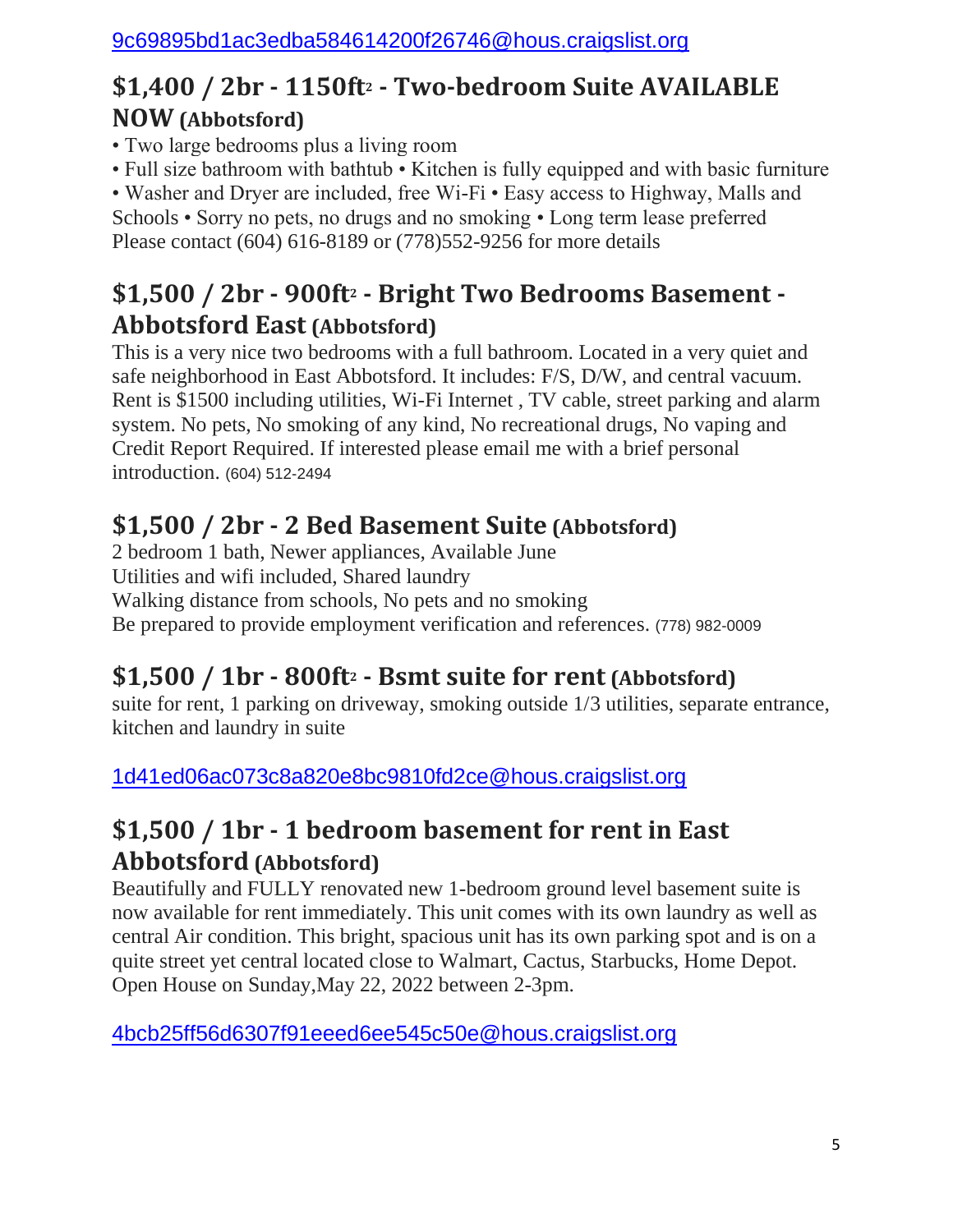#### **\$1,400 / 2br - 1150ft<sup>2</sup> - Two-bedroom Suite AVAILABLE NOW (Abbotsford)**

- Two large bedrooms plus a living room
- Full size bathroom with bathtub Kitchen is fully equipped and with basic furniture

• Washer and Dryer are included, free Wi-Fi • Easy access to Highway, Malls and Schools • Sorry no pets, no drugs and no smoking • Long term lease preferred Please contact (604) 616-8189 or (778)552-9256 for more details

#### **\$1,500 / 2br - 900ft<sup>2</sup> - Bright Two Bedrooms Basement - Abbotsford East (Abbotsford)**

This is a very nice two bedrooms with a full bathroom. Located in a very quiet and safe neighborhood in East Abbotsford. It includes: F/S, D/W, and central vacuum. Rent is \$1500 including utilities, Wi-Fi Internet , TV cable, street parking and alarm system. No pets, No smoking of any kind, No recreational drugs, No vaping and Credit Report Required. If interested please email me with a brief personal introduction. (604) 512-2494

#### **\$1,500 / 2br - 2 Bed Basement Suite (Abbotsford)**

2 bedroom 1 bath, Newer appliances, Available June Utilities and wifi included, Shared laundry Walking distance from schools, No pets and no smoking Be prepared to provide employment verification and references. (778) 982-0009

#### **\$1,500 / 1br - 800ft<sup>2</sup> - Bsmt suite for rent (Abbotsford)**

suite for rent, 1 parking on driveway, smoking outside 1/3 utilities, separate entrance, kitchen and laundry in suite

[1d41ed06ac073c8a820e8bc9810fd2ce@hous.craigslist.org](mailto:1d41ed06ac073c8a820e8bc9810fd2ce@hous.craigslist.org)

#### **\$1,500 / 1br - 1 bedroom basement for rent in East Abbotsford (Abbotsford)**

Beautifully and FULLY renovated new 1-bedroom ground level basement suite is now available for rent immediately. This unit comes with its own laundry as well as central Air condition. This bright, spacious unit has its own parking spot and is on a quite street yet central located close to Walmart, Cactus, Starbucks, Home Depot. Open House on Sunday,May 22, 2022 between 2-3pm.

[4bcb25ff56d6307f91eeed6ee545c50e@hous.craigslist.org](mailto:4bcb25ff56d6307f91eeed6ee545c50e@hous.craigslist.org)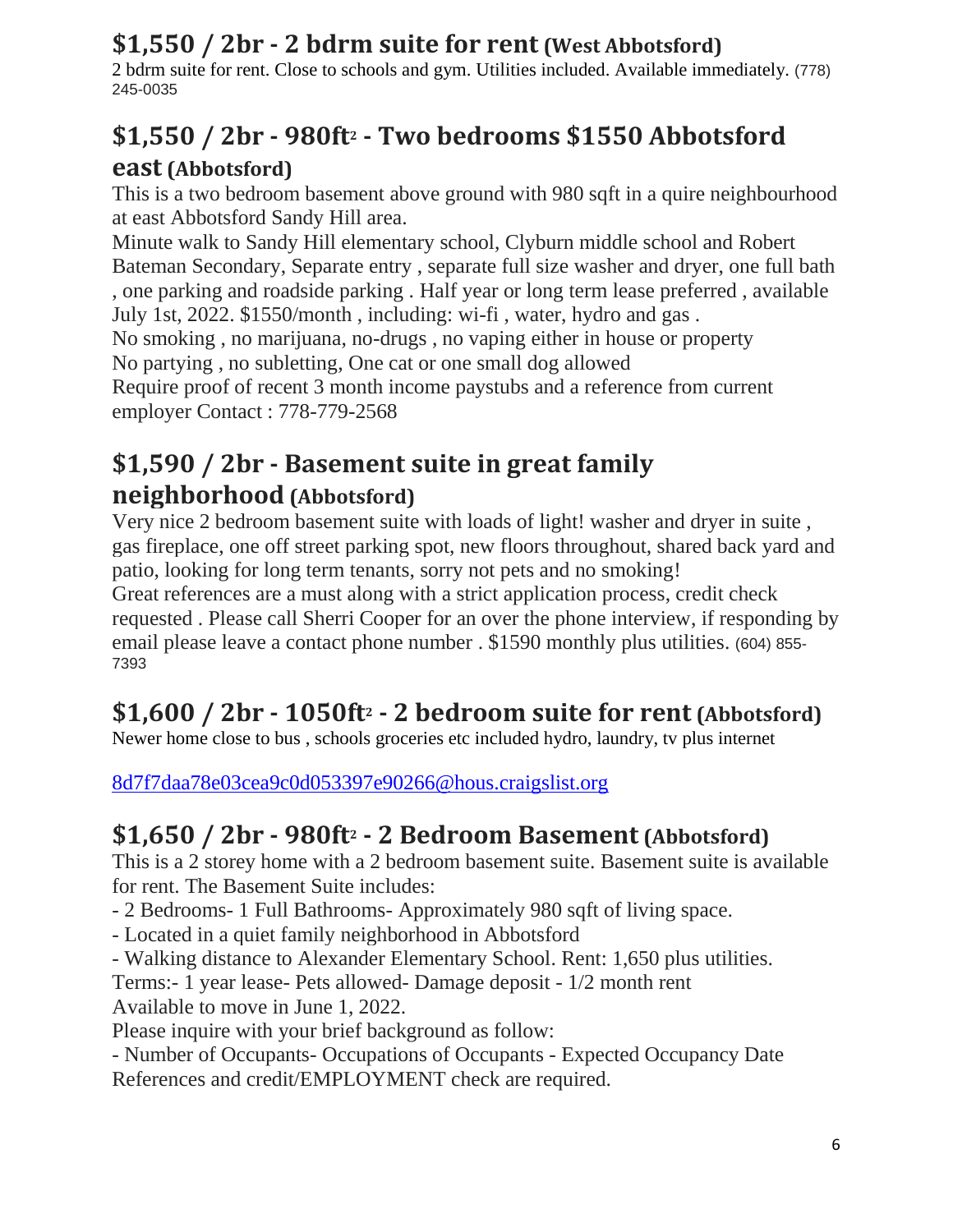#### **\$1,550 / 2br - 2 bdrm suite for rent (West Abbotsford)**

2 bdrm suite for rent. Close to schools and gym. Utilities included. Available immediately. (778) 245-0035

#### **\$1,550 / 2br - 980ft<sup>2</sup> - Two bedrooms \$1550 Abbotsford east (Abbotsford)**

This is a two bedroom basement above ground with 980 sqft in a quire neighbourhood at east Abbotsford Sandy Hill area.

Minute walk to Sandy Hill elementary school, Clyburn middle school and Robert Bateman Secondary, Separate entry , separate full size washer and dryer, one full bath , one parking and roadside parking . Half year or long term lease preferred , available July 1st, 2022. \$1550/month , including: wi-fi , water, hydro and gas . No smoking , no marijuana, no-drugs , no vaping either in house or property No partying , no subletting, One cat or one small dog allowed Require proof of recent 3 month income paystubs and a reference from current employer Contact : 778-779-2568

#### **\$1,590 / 2br - Basement suite in great family neighborhood (Abbotsford)**

Very nice 2 bedroom basement suite with loads of light! washer and dryer in suite , gas fireplace, one off street parking spot, new floors throughout, shared back yard and patio, looking for long term tenants, sorry not pets and no smoking! Great references are a must along with a strict application process, credit check requested . Please call Sherri Cooper for an over the phone interview, if responding by email please leave a contact phone number . \$1590 monthly plus utilities. (604) 855- 7393

## **\$1,600 / 2br - 1050ft<sup>2</sup> - 2 bedroom suite for rent (Abbotsford)**

Newer home close to bus , schools groceries etc included hydro, laundry, tv plus internet

[8d7f7daa78e03cea9c0d053397e90266@hous.craigslist.org](mailto:8d7f7daa78e03cea9c0d053397e90266@hous.craigslist.org)

#### **\$1,650 / 2br - 980ft<sup>2</sup> - 2 Bedroom Basement (Abbotsford)**

This is a 2 storey home with a 2 bedroom basement suite. Basement suite is available for rent. The Basement Suite includes:

- 2 Bedrooms- 1 Full Bathrooms- Approximately 980 sqft of living space.

- Located in a quiet family neighborhood in Abbotsford
- Walking distance to Alexander Elementary School. Rent: 1,650 plus utilities.

Terms:- 1 year lease- Pets allowed- Damage deposit - 1/2 month rent

Available to move in June 1, 2022.

Please inquire with your brief background as follow:

- Number of Occupants- Occupations of Occupants - Expected Occupancy Date References and credit/EMPLOYMENT check are required.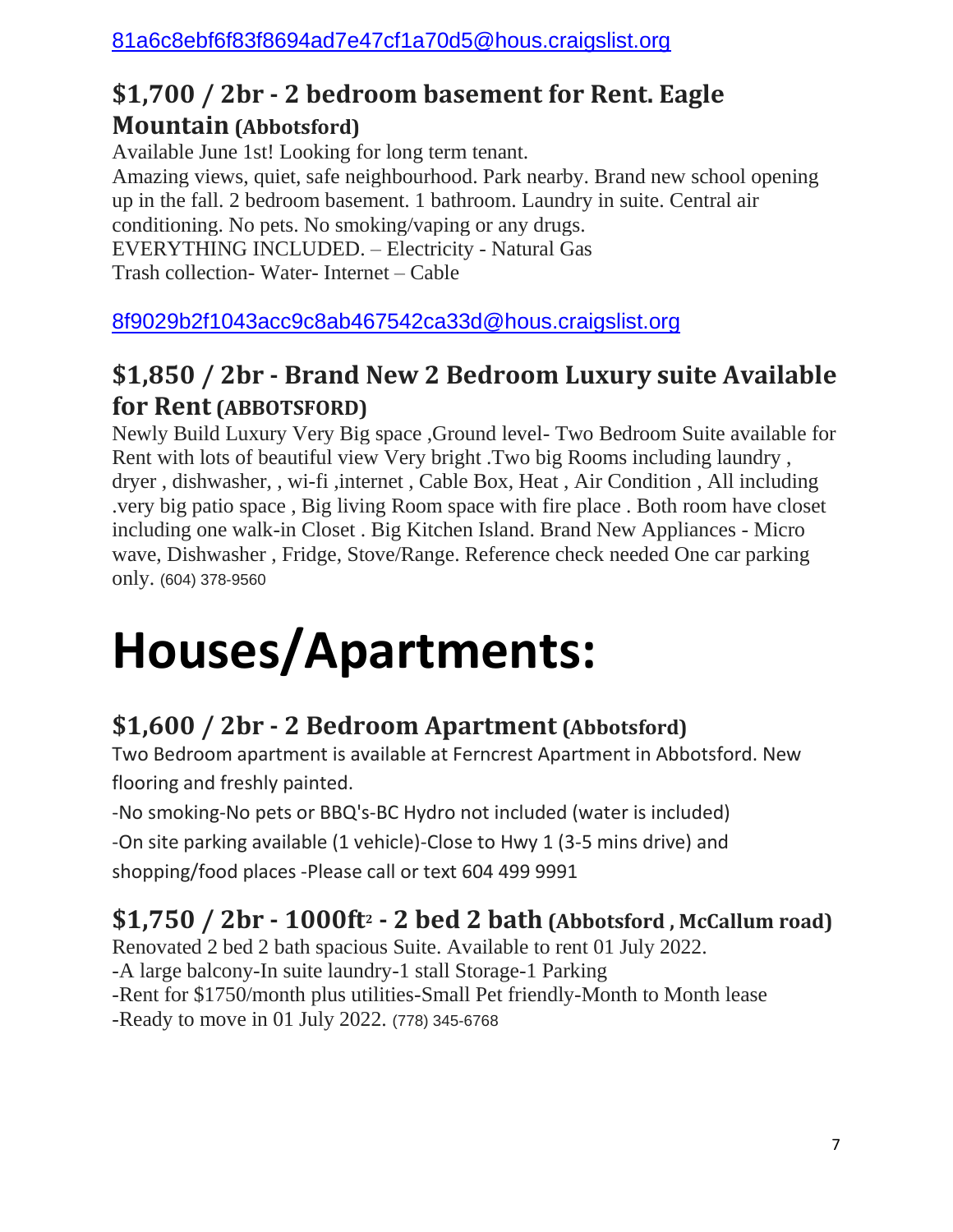#### **\$1,700 / 2br - 2 bedroom basement for Rent. Eagle Mountain (Abbotsford)**

Available June 1st! Looking for long term tenant.

Amazing views, quiet, safe neighbourhood. Park nearby. Brand new school opening up in the fall. 2 bedroom basement. 1 bathroom. Laundry in suite. Central air conditioning. No pets. No smoking/vaping or any drugs. EVERYTHING INCLUDED. – Electricity - Natural Gas Trash collection- Water- Internet – Cable

[8f9029b2f1043acc9c8ab467542ca33d@hous.craigslist.org](mailto:8f9029b2f1043acc9c8ab467542ca33d@hous.craigslist.org)

#### **\$1,850 / 2br - Brand New 2 Bedroom Luxury suite Available for Rent (ABBOTSFORD)**

Newly Build Luxury Very Big space ,Ground level- Two Bedroom Suite available for Rent with lots of beautiful view Very bright .Two big Rooms including laundry , dryer , dishwasher, , wi-fi ,internet , Cable Box, Heat , Air Condition , All including .very big patio space , Big living Room space with fire place . Both room have closet including one walk-in Closet . Big Kitchen Island. Brand New Appliances - Micro wave, Dishwasher , Fridge, Stove/Range. Reference check needed One car parking only. (604) 378-9560

# **Houses/Apartments:**

#### **\$1,600 / 2br - 2 Bedroom Apartment (Abbotsford)**

Two Bedroom apartment is available at Ferncrest Apartment in Abbotsford. New flooring and freshly painted.

-No smoking-No pets or BBQ's-BC Hydro not included (water is included)

-On site parking available (1 vehicle)-Close to Hwy 1 (3-5 mins drive) and shopping/food places -Please call or text 604 499 9991

## **\$1,750 / 2br - 1000ft<sup>2</sup> - 2 bed 2 bath (Abbotsford , McCallum road)**

Renovated 2 bed 2 bath spacious Suite. Available to rent 01 July 2022.

-A large balcony-In suite laundry-1 stall Storage-1 Parking

-Rent for \$1750/month plus utilities-Small Pet friendly-Month to Month lease

-Ready to move in 01 July 2022. (778) 345-6768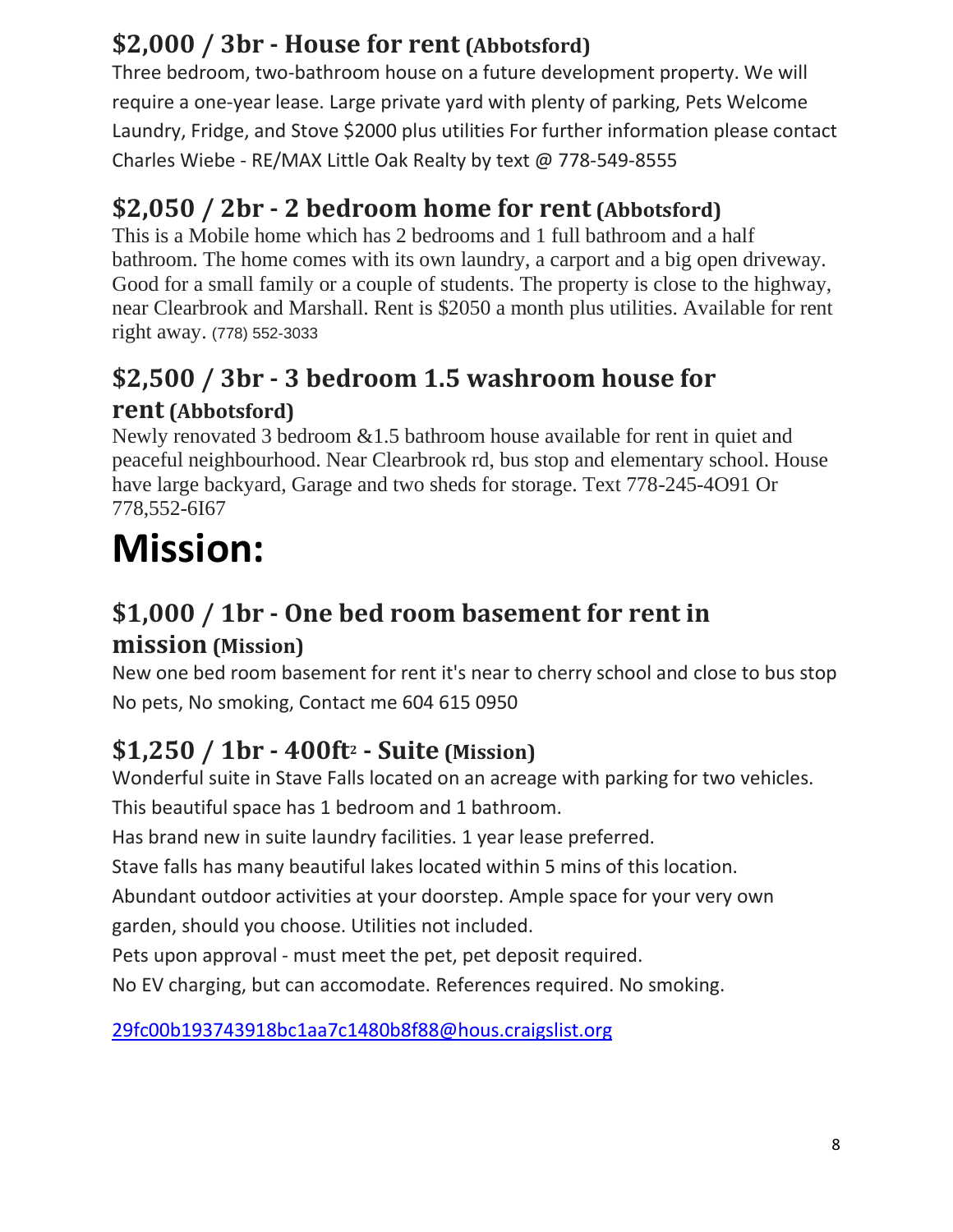#### **\$2,000 / 3br - House for rent (Abbotsford)**

Three bedroom, two-bathroom house on a future development property. We will require a one-year lease. Large private yard with plenty of parking, Pets Welcome Laundry, Fridge, and Stove \$2000 plus utilities For further information please contact Charles Wiebe - RE/MAX Little Oak Realty by text @ 778-549-8555

#### **\$2,050 / 2br - 2 bedroom home for rent (Abbotsford)**

This is a Mobile home which has 2 bedrooms and 1 full bathroom and a half bathroom. The home comes with its own laundry, a carport and a big open driveway. Good for a small family or a couple of students. The property is close to the highway, near Clearbrook and Marshall. Rent is \$2050 a month plus utilities. Available for rent right away. (778) 552-3033

#### **\$2,500 / 3br - 3 bedroom 1.5 washroom house for rent (Abbotsford)**

Newly renovated 3 bedroom &1.5 bathroom house available for rent in quiet and peaceful neighbourhood. Near Clearbrook rd, bus stop and elementary school. House have large backyard, Garage and two sheds for storage. Text 778-245-4O91 Or 778,552-6I67

# **Mission:**

#### **\$1,000 / 1br - One bed room basement for rent in mission (Mission)**

New one bed room basement for rent it's near to cherry school and close to bus stop No pets, No smoking, Contact me 604 615 0950

## **\$1,250 / 1br - 400ft<sup>2</sup> - Suite (Mission)**

Wonderful suite in Stave Falls located on an acreage with parking for two vehicles. This beautiful space has 1 bedroom and 1 bathroom.

Has brand new in suite laundry facilities. 1 year lease preferred.

Stave falls has many beautiful lakes located within 5 mins of this location.

Abundant outdoor activities at your doorstep. Ample space for your very own garden, should you choose. Utilities not included.

Pets upon approval - must meet the pet, pet deposit required.

No EV charging, but can accomodate. References required. No smoking.

[29fc00b193743918bc1aa7c1480b8f88@hous.craigslist.org](mailto:29fc00b193743918bc1aa7c1480b8f88@hous.craigslist.org)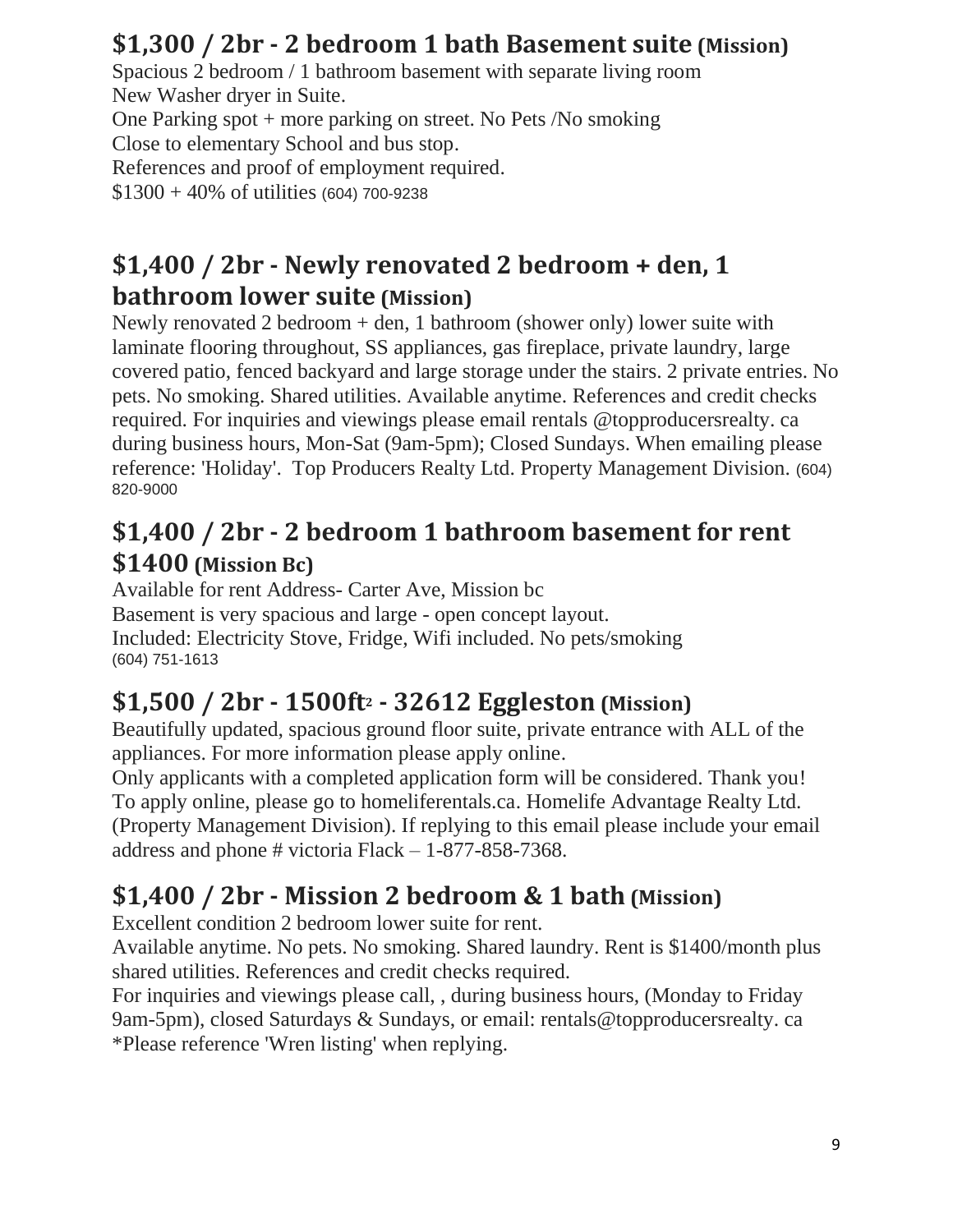#### **\$1,300 / 2br - 2 bedroom 1 bath Basement suite (Mission)**

Spacious 2 bedroom / 1 bathroom basement with separate living room New Washer dryer in Suite. One Parking spot + more parking on street. No Pets /No smoking Close to elementary School and bus stop. References and proof of employment required. \$1300 + 40% of utilities (604) 700-9238

#### **\$1,400 / 2br - Newly renovated 2 bedroom + den, 1 bathroom lower suite (Mission)**

Newly renovated 2 bedroom  $+$  den, 1 bathroom (shower only) lower suite with laminate flooring throughout, SS appliances, gas fireplace, private laundry, large covered patio, fenced backyard and large storage under the stairs. 2 private entries. No pets. No smoking. Shared utilities. Available anytime. References and credit checks required. For inquiries and viewings please email rentals @topproducersrealty. ca during business hours, Mon-Sat (9am-5pm); Closed Sundays. When emailing please reference: 'Holiday'. Top Producers Realty Ltd. Property Management Division. (604) 820-9000

#### **\$1,400 / 2br - 2 bedroom 1 bathroom basement for rent \$1400 (Mission Bc)**

Available for rent Address- Carter Ave, Mission bc Basement is very spacious and large - open concept layout. Included: Electricity Stove, Fridge, Wifi included. No pets/smoking (604) 751-1613

#### **\$1,500 / 2br - 1500ft<sup>2</sup> - 32612 Eggleston (Mission)**

Beautifully updated, spacious ground floor suite, private entrance with ALL of the appliances. For more information please apply online.

Only applicants with a completed application form will be considered. Thank you! To apply online, please go to homeliferentals.ca. Homelife Advantage Realty Ltd. (Property Management Division). If replying to this email please include your email address and phone # victoria  $Flack - 1-877-858-7368$ .

#### **\$1,400 / 2br - Mission 2 bedroom & 1 bath (Mission)**

Excellent condition 2 bedroom lower suite for rent.

Available anytime. No pets. No smoking. Shared laundry. Rent is \$1400/month plus shared utilities. References and credit checks required.

For inquiries and viewings please call, , during business hours, (Monday to Friday 9am-5pm), closed Saturdays & Sundays, or email: rentals@topproducersrealty. ca \*Please reference 'Wren listing' when replying.